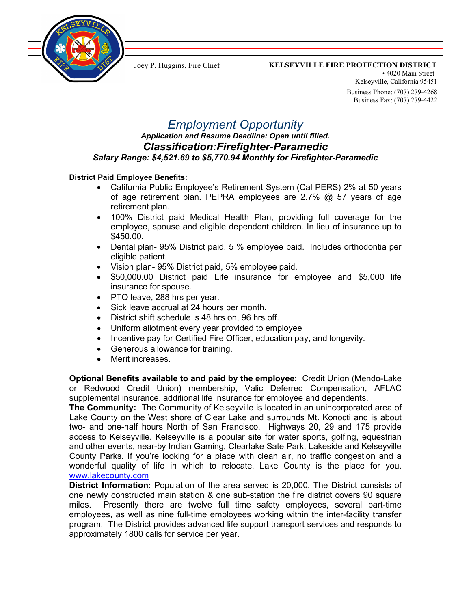

### Joey P. Huggins, Fire Chief **KELSEYVILLE FIRE PROTECTION DISTRICT**

 • 4020 Main Street Kelseyville, California 95451 Business Phone: (707) 279-4268 Business Fax: (707) 279-4422

# *Employment Opportunity*

### *Application and Resume Deadline: Open until filled. Classification:Firefighter-Paramedic Salary Range: \$4,521.69 to \$5,770.94 Monthly for Firefighter-Paramedic*

### **District Paid Employee Benefits:**

- California Public Employee's Retirement System (Cal PERS) 2% at 50 years of age retirement plan. PEPRA employees are 2.7%  $\omega$  57 years of age retirement plan.
- 100% District paid Medical Health Plan, providing full coverage for the employee, spouse and eligible dependent children. In lieu of insurance up to \$450.00.
- Dental plan- 95% District paid, 5 % employee paid. Includes orthodontia per eligible patient.
- Vision plan- 95% District paid, 5% employee paid.
- \$50,000.00 District paid Life insurance for employee and \$5,000 life insurance for spouse.
- PTO leave, 288 hrs per year.
- Sick leave accrual at 24 hours per month.
- District shift schedule is 48 hrs on, 96 hrs off.
- Uniform allotment every year provided to employee
- Incentive pay for Certified Fire Officer, education pay, and longevity.
- Generous allowance for training.
- Merit increases.

**Optional Benefits available to and paid by the employee:** Credit Union (Mendo-Lake or Redwood Credit Union) membership, Valic Deferred Compensation, AFLAC supplemental insurance, additional life insurance for employee and dependents.

**The Community:** The Community of Kelseyville is located in an unincorporated area of Lake County on the West shore of Clear Lake and surrounds Mt. Konocti and is about two- and one-half hours North of San Francisco. Highways 20, 29 and 175 provide access to Kelseyville. Kelseyville is a popular site for water sports, golfing, equestrian and other events, near-by Indian Gaming, Clearlake Sate Park, Lakeside and Kelseyville County Parks. If you're looking for a place with clean air, no traffic congestion and a wonderful quality of life in which to relocate, Lake County is the place for you. [www.lakecounty.com](http://www.lakecounty.com/)

**District Information:** Population of the area served is 20,000. The District consists of one newly constructed main station & one sub-station the fire district covers 90 square miles. Presently there are twelve full time safety employees, several part-time employees, as well as nine full-time employees working within the inter-facility transfer program. The District provides advanced life support transport services and responds to approximately 1800 calls for service per year.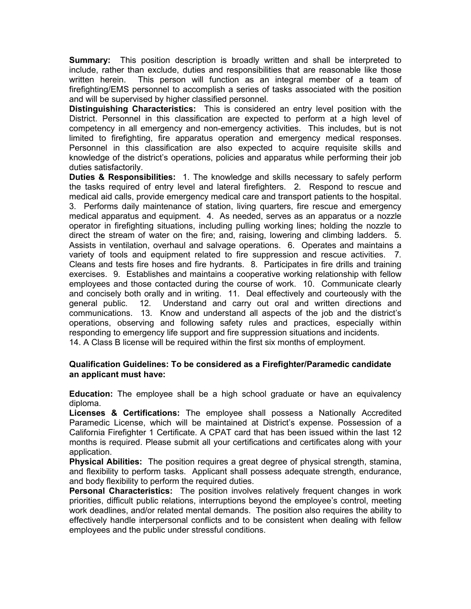**Summary:** This position description is broadly written and shall be interpreted to include, rather than exclude, duties and responsibilities that are reasonable like those written herein. This person will function as an integral member of a team of firefighting/EMS personnel to accomplish a series of tasks associated with the position and will be supervised by higher classified personnel.

**Distinguishing Characteristics:** This is considered an entry level position with the District. Personnel in this classification are expected to perform at a high level of competency in all emergency and non-emergency activities. This includes, but is not limited to firefighting, fire apparatus operation and emergency medical responses. Personnel in this classification are also expected to acquire requisite skills and knowledge of the district's operations, policies and apparatus while performing their job duties satisfactorily.

**Duties & Responsibilities:** 1. The knowledge and skills necessary to safely perform the tasks required of entry level and lateral firefighters. 2. Respond to rescue and medical aid calls, provide emergency medical care and transport patients to the hospital. 3. Performs daily maintenance of station, living quarters, fire rescue and emergency medical apparatus and equipment. 4. As needed, serves as an apparatus or a nozzle operator in firefighting situations, including pulling working lines; holding the nozzle to direct the stream of water on the fire; and, raising, lowering and climbing ladders. 5. Assists in ventilation, overhaul and salvage operations. 6. Operates and maintains a variety of tools and equipment related to fire suppression and rescue activities. 7. Cleans and tests fire hoses and fire hydrants. 8. Participates in fire drills and training exercises. 9. Establishes and maintains a cooperative working relationship with fellow employees and those contacted during the course of work. 10. Communicate clearly and concisely both orally and in writing. 11. Deal effectively and courteously with the general public. 12. Understand and carry out oral and written directions and communications. 13. Know and understand all aspects of the job and the district's operations, observing and following safety rules and practices, especially within responding to emergency life support and fire suppression situations and incidents. 14. A Class B license will be required within the first six months of employment.

#### **Qualification Guidelines: To be considered as a Firefighter/Paramedic candidate an applicant must have:**

**Education:** The employee shall be a high school graduate or have an equivalency diploma.

**Licenses & Certifications:** The employee shall possess a Nationally Accredited Paramedic License, which will be maintained at District's expense. Possession of a California Firefighter 1 Certificate. A CPAT card that has been issued within the last 12 months is required. Please submit all your certifications and certificates along with your application.

**Physical Abilities:** The position requires a great degree of physical strength, stamina, and flexibility to perform tasks. Applicant shall possess adequate strength, endurance, and body flexibility to perform the required duties.

**Personal Characteristics:** The position involves relatively frequent changes in work priorities, difficult public relations, interruptions beyond the employee's control, meeting work deadlines, and/or related mental demands. The position also requires the ability to effectively handle interpersonal conflicts and to be consistent when dealing with fellow employees and the public under stressful conditions.